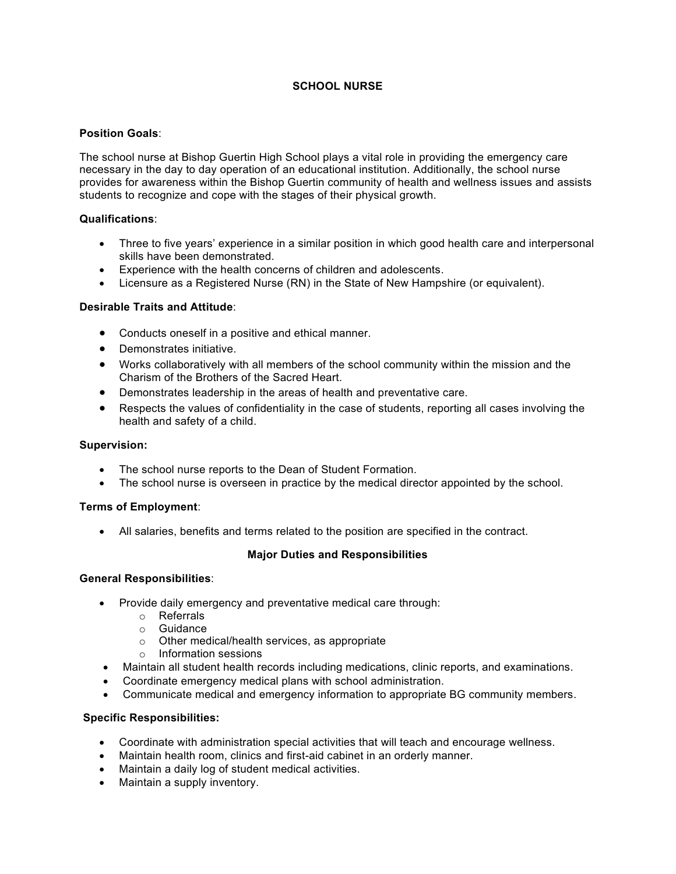# **SCHOOL NURSE**

## **Position Goals**:

The school nurse at Bishop Guertin High School plays a vital role in providing the emergency care necessary in the day to day operation of an educational institution. Additionally, the school nurse provides for awareness within the Bishop Guertin community of health and wellness issues and assists students to recognize and cope with the stages of their physical growth.

#### **Qualifications**:

- Three to five years' experience in a similar position in which good health care and interpersonal skills have been demonstrated.
- Experience with the health concerns of children and adolescents.
- Licensure as a Registered Nurse (RN) in the State of New Hampshire (or equivalent).

## **Desirable Traits and Attitude**:

- Conducts oneself in a positive and ethical manner.
- Demonstrates initiative.
- Works collaboratively with all members of the school community within the mission and the Charism of the Brothers of the Sacred Heart.
- Demonstrates leadership in the areas of health and preventative care.
- $\bullet$  Respects the values of confidentiality in the case of students, reporting all cases involving the health and safety of a child.

## **Supervision:**

- The school nurse reports to the Dean of Student Formation.
- The school nurse is overseen in practice by the medical director appointed by the school.

## **Terms of Employment**:

• All salaries, benefits and terms related to the position are specified in the contract.

## **Major Duties and Responsibilities**

#### **General Responsibilities**:

- Provide daily emergency and preventative medical care through:
	- o Referrals
	- o Guidance
	- o Other medical/health services, as appropriate
	- o Information sessions
- Maintain all student health records including medications, clinic reports, and examinations.
- Coordinate emergency medical plans with school administration.
- Communicate medical and emergency information to appropriate BG community members.

## **Specific Responsibilities:**

- Coordinate with administration special activities that will teach and encourage wellness.
- Maintain health room, clinics and first-aid cabinet in an orderly manner.
- Maintain a daily log of student medical activities.
- Maintain a supply inventory.